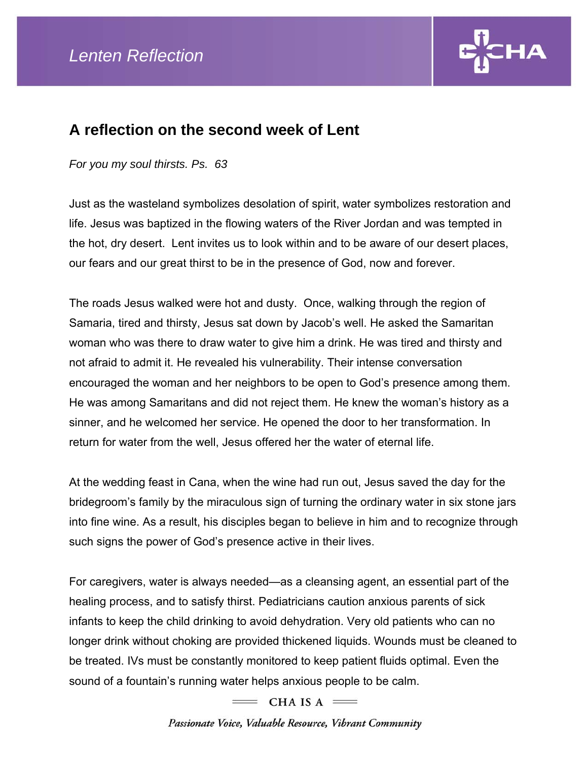

## **A reflection on the second week of Lent**

## *For you my soul thirsts. Ps. 63*

Just as the wasteland symbolizes desolation of spirit, water symbolizes restoration and life. Jesus was baptized in the flowing waters of the River Jordan and was tempted in the hot, dry desert. Lent invites us to look within and to be aware of our desert places, our fears and our great thirst to be in the presence of God, now and forever.

The roads Jesus walked were hot and dusty. Once, walking through the region of Samaria, tired and thirsty, Jesus sat down by Jacob's well. He asked the Samaritan woman who was there to draw water to give him a drink. He was tired and thirsty and not afraid to admit it. He revealed his vulnerability. Their intense conversation encouraged the woman and her neighbors to be open to God's presence among them. He was among Samaritans and did not reject them. He knew the woman's history as a sinner, and he welcomed her service. He opened the door to her transformation. In return for water from the well, Jesus offered her the water of eternal life.

At the wedding feast in Cana, when the wine had run out, Jesus saved the day for the bridegroom's family by the miraculous sign of turning the ordinary water in six stone jars into fine wine. As a result, his disciples began to believe in him and to recognize through such signs the power of God's presence active in their lives.

For caregivers, water is always needed—as a cleansing agent, an essential part of the healing process, and to satisfy thirst. Pediatricians caution anxious parents of sick infants to keep the child drinking to avoid dehydration. Very old patients who can no longer drink without choking are provided thickened liquids. Wounds must be cleaned to be treated. IVs must be constantly monitored to keep patient fluids optimal. Even the sound of a fountain's running water helps anxious people to be calm.

 $=$  CHA IS A  $=$ 

Passionate Voice, Valuable Resource, Vibrant Community